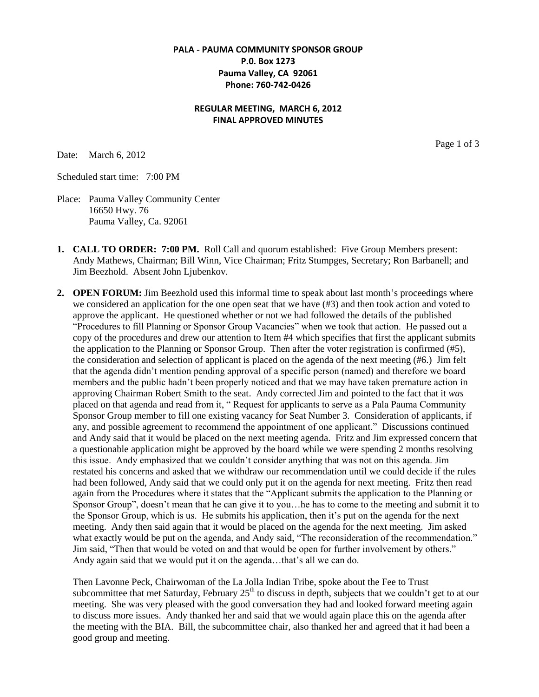## **PALA - PAUMA COMMUNITY SPONSOR GROUP P.0. Box 1273 Pauma Valley, CA 92061 Phone: 760-742-0426**

### **REGULAR MEETING, MARCH 6, 2012 FINAL APPROVED MINUTES**

Date: March 6, 2012

Page 1 of 3

Scheduled start time: 7:00 PM

Place: Pauma Valley Community Center 16650 Hwy. 76 Pauma Valley, Ca. 92061

- **1. CALL TO ORDER: 7:00 PM.** Roll Call and quorum established: Five Group Members present: Andy Mathews, Chairman; Bill Winn, Vice Chairman; Fritz Stumpges, Secretary; Ron Barbanell; and Jim Beezhold. Absent John Ljubenkov.
- **2. OPEN FORUM:** Jim Beezhold used this informal time to speak about last month's proceedings where we considered an application for the one open seat that we have (#3) and then took action and voted to approve the applicant. He questioned whether or not we had followed the details of the published "Procedures to fill Planning or Sponsor Group Vacancies" when we took that action. He passed out a copy of the procedures and drew our attention to Item #4 which specifies that first the applicant submits the application to the Planning or Sponsor Group. Then after the voter registration is confirmed (#5), the consideration and selection of applicant is placed on the agenda of the next meeting (#6.) Jim felt that the agenda didn't mention pending approval of a specific person (named) and therefore we board members and the public hadn't been properly noticed and that we may have taken premature action in approving Chairman Robert Smith to the seat. Andy corrected Jim and pointed to the fact that it *was* placed on that agenda and read from it, " Request for applicants to serve as a Pala Pauma Community Sponsor Group member to fill one existing vacancy for Seat Number 3. Consideration of applicants, if any, and possible agreement to recommend the appointment of one applicant." Discussions continued and Andy said that it would be placed on the next meeting agenda. Fritz and Jim expressed concern that a questionable application might be approved by the board while we were spending 2 months resolving this issue. Andy emphasized that we couldn't consider anything that was not on this agenda. Jim restated his concerns and asked that we withdraw our recommendation until we could decide if the rules had been followed, Andy said that we could only put it on the agenda for next meeting. Fritz then read again from the Procedures where it states that the "Applicant submits the application to the Planning or Sponsor Group", doesn't mean that he can give it to you…he has to come to the meeting and submit it to the Sponsor Group, which is us. He submits his application, then it's put on the agenda for the next meeting. Andy then said again that it would be placed on the agenda for the next meeting. Jim asked what exactly would be put on the agenda, and Andy said, "The reconsideration of the recommendation." Jim said, "Then that would be voted on and that would be open for further involvement by others." Andy again said that we would put it on the agenda…that's all we can do.

Then Lavonne Peck, Chairwoman of the La Jolla Indian Tribe, spoke about the Fee to Trust subcommittee that met Saturday, February  $25<sup>th</sup>$  to discuss in depth, subjects that we couldn't get to at our meeting. She was very pleased with the good conversation they had and looked forward meeting again to discuss more issues. Andy thanked her and said that we would again place this on the agenda after the meeting with the BIA. Bill, the subcommittee chair, also thanked her and agreed that it had been a good group and meeting.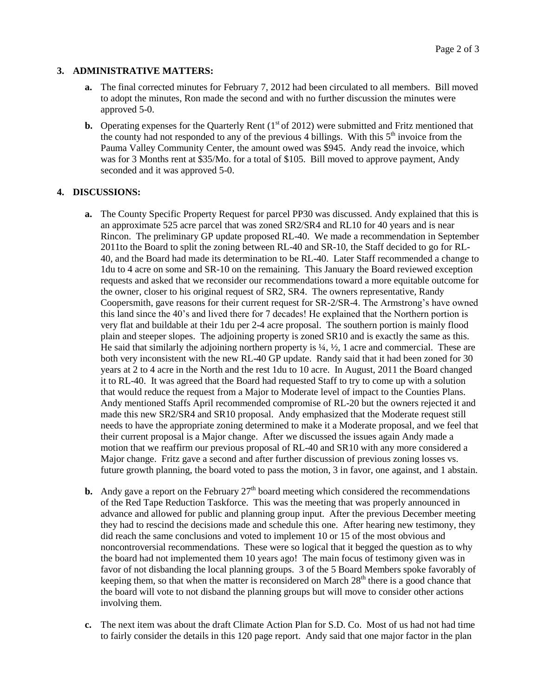#### **3. ADMINISTRATIVE MATTERS:**

- **a.** The final corrected minutes for February 7, 2012 had been circulated to all members. Bill moved to adopt the minutes, Ron made the second and with no further discussion the minutes were approved 5-0.
- **b.** Operating expenses for the Quarterly Rent  $(1<sup>st</sup> of 2012)$  were submitted and Fritz mentioned that the county had not responded to any of the previous 4 billings. With this  $5<sup>th</sup>$  invoice from the Pauma Valley Community Center, the amount owed was \$945. Andy read the invoice, which was for 3 Months rent at \$35/Mo. for a total of \$105. Bill moved to approve payment, Andy seconded and it was approved 5-0.

#### **4. DISCUSSIONS:**

- **a.** The County Specific Property Request for parcel PP30 was discussed. Andy explained that this is an approximate 525 acre parcel that was zoned SR2/SR4 and RL10 for 40 years and is near Rincon. The preliminary GP update proposed RL-40. We made a recommendation in September 2011to the Board to split the zoning between RL-40 and SR-10, the Staff decided to go for RL-40, and the Board had made its determination to be RL-40. Later Staff recommended a change to 1du to 4 acre on some and SR-10 on the remaining. This January the Board reviewed exception requests and asked that we reconsider our recommendations toward a more equitable outcome for the owner, closer to his original request of SR2, SR4. The owners representative, Randy Coopersmith, gave reasons for their current request for SR-2/SR-4. The Armstrong's have owned this land since the 40's and lived there for 7 decades! He explained that the Northern portion is very flat and buildable at their 1du per 2-4 acre proposal. The southern portion is mainly flood plain and steeper slopes. The adjoining property is zoned SR10 and is exactly the same as this. He said that similarly the adjoining northern property is  $\frac{1}{4}$ ,  $\frac{1}{2}$ , 1 acre and commercial. These are both very inconsistent with the new RL-40 GP update. Randy said that it had been zoned for 30 years at 2 to 4 acre in the North and the rest 1du to 10 acre. In August, 2011 the Board changed it to RL-40. It was agreed that the Board had requested Staff to try to come up with a solution that would reduce the request from a Major to Moderate level of impact to the Counties Plans. Andy mentioned Staffs April recommended compromise of RL-20 but the owners rejected it and made this new SR2/SR4 and SR10 proposal. Andy emphasized that the Moderate request still needs to have the appropriate zoning determined to make it a Moderate proposal, and we feel that their current proposal is a Major change. After we discussed the issues again Andy made a motion that we reaffirm our previous proposal of RL-40 and SR10 with any more considered a Major change. Fritz gave a second and after further discussion of previous zoning losses vs. future growth planning, the board voted to pass the motion, 3 in favor, one against, and 1 abstain.
- **b.** Andy gave a report on the February  $27<sup>th</sup>$  board meeting which considered the recommendations of the Red Tape Reduction Taskforce. This was the meeting that was properly announced in advance and allowed for public and planning group input. After the previous December meeting they had to rescind the decisions made and schedule this one. After hearing new testimony, they did reach the same conclusions and voted to implement 10 or 15 of the most obvious and noncontroversial recommendations. These were so logical that it begged the question as to why the board had not implemented them 10 years ago! The main focus of testimony given was in favor of not disbanding the local planning groups. 3 of the 5 Board Members spoke favorably of keeping them, so that when the matter is reconsidered on March  $28<sup>th</sup>$  there is a good chance that the board will vote to not disband the planning groups but will move to consider other actions involving them.
- **c.** The next item was about the draft Climate Action Plan for S.D. Co. Most of us had not had time to fairly consider the details in this 120 page report. Andy said that one major factor in the plan